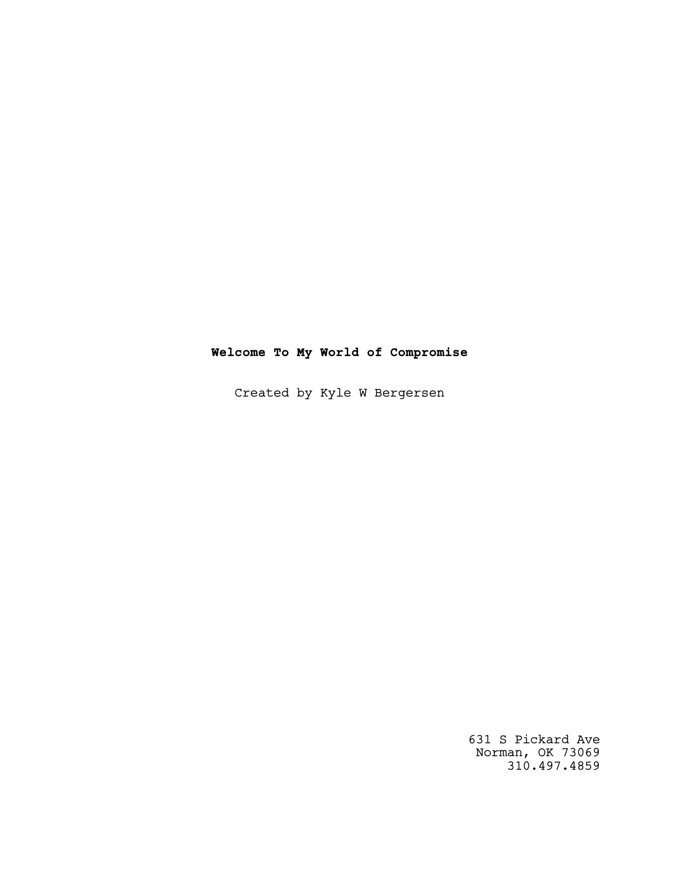# **Welcome To My World of Compromise**

Created by Kyle W Bergersen

631 S Pickard Ave Norman, OK 73069 310.497.4859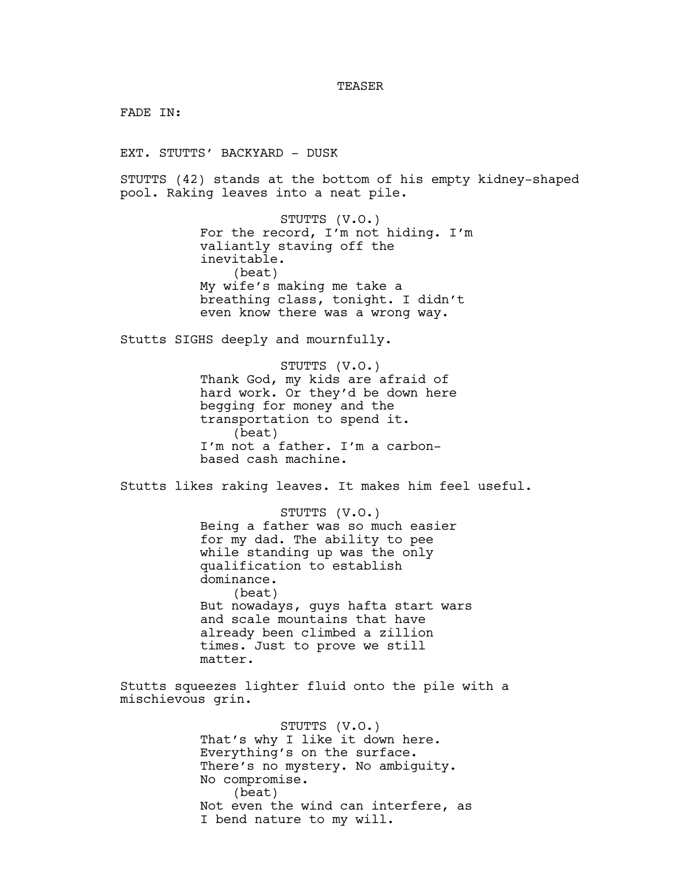#### **TEASER**

FADE IN:

EXT. STUTTS' BACKYARD - DUSK

STUTTS (42) stands at the bottom of his empty kidney-shaped pool. Raking leaves into a neat pile.

> STUTTS (V.O.) For the record, I'm not hiding. I'm valiantly staving off the inevitable. (beat) My wife's making me take a breathing class, tonight. I didn't even know there was a wrong way.

Stutts SIGHS deeply and mournfully.

STUTTS (V.O.) Thank God, my kids are afraid of hard work. Or they'd be down here begging for money and the transportation to spend it. (beat) I'm not a father. I'm a carbonbased cash machine.

Stutts likes raking leaves. It makes him feel useful.

STUTTS (V.O.) Being a father was so much easier for my dad. The ability to pee while standing up was the only qualification to establish dominance. (beat) But nowadays, guys hafta start wars and scale mountains that have already been climbed a zillion times. Just to prove we still matter.

Stutts squeezes lighter fluid onto the pile with a mischievous grin.

> STUTTS (V.O.) That's why I like it down here. Everything's on the surface. There's no mystery. No ambiguity. No compromise. (beat) Not even the wind can interfere, as I bend nature to my will.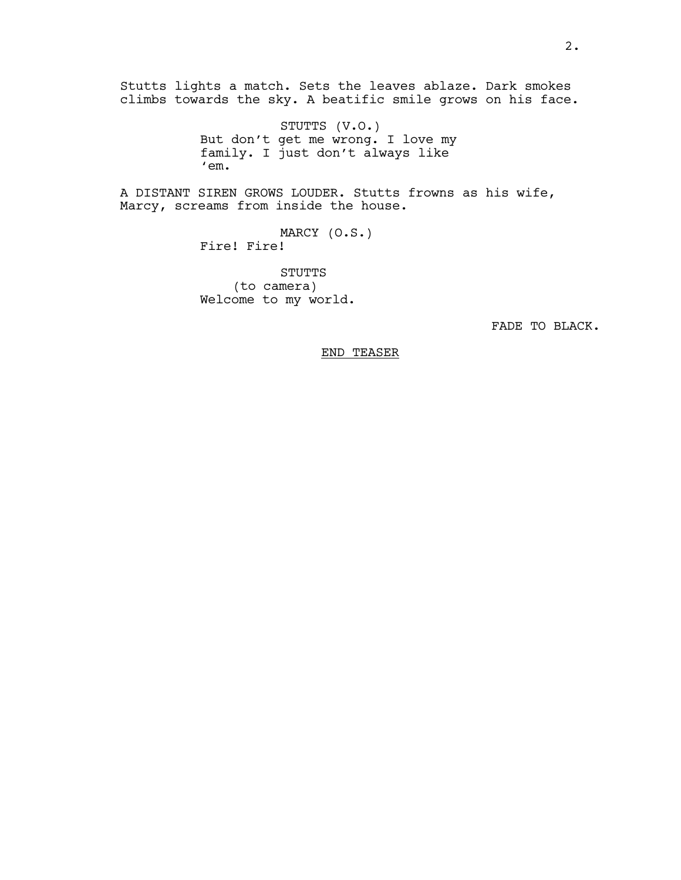Stutts lights a match. Sets the leaves ablaze. Dark smokes climbs towards the sky. A beatific smile grows on his face.

> STUTTS (V.O.) But don't get me wrong. I love my family. I just don't always like 'em.

A DISTANT SIREN GROWS LOUDER. Stutts frowns as his wife, Marcy, screams from inside the house.

> MARCY (O.S.) Fire! Fire!

STUTTS (to camera) Welcome to my world.

FADE TO BLACK.

END TEASER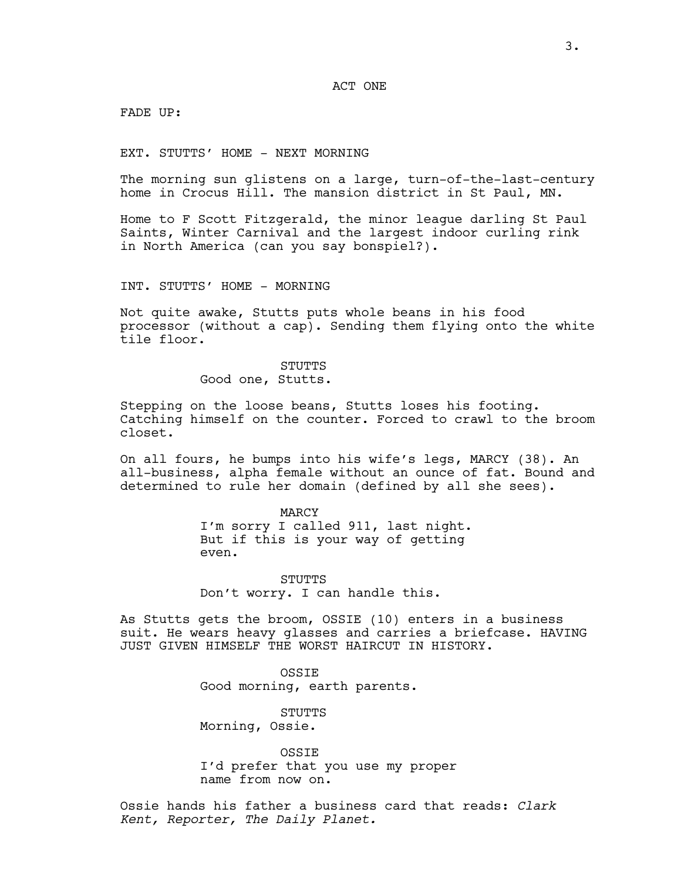ACT ONE

FADE UP:

EXT. STUTTS' HOME - NEXT MORNING

The morning sun glistens on a large, turn-of-the-last-century home in Crocus Hill. The mansion district in St Paul, MN.

Home to F Scott Fitzgerald, the minor league darling St Paul Saints, Winter Carnival and the largest indoor curling rink in North America (can you say bonspiel?).

INT. STUTTS' HOME - MORNING

Not quite awake, Stutts puts whole beans in his food processor (without a cap). Sending them flying onto the white tile floor.

> STUTTS Good one, Stutts.

Stepping on the loose beans, Stutts loses his footing. Catching himself on the counter. Forced to crawl to the broom closet.

On all fours, he bumps into his wife's legs, MARCY (38). An all-business, alpha female without an ounce of fat. Bound and determined to rule her domain (defined by all she sees).

> MARCY I'm sorry I called 911, last night. But if this is your way of getting even.

STUTTS Don't worry. I can handle this.

As Stutts gets the broom, OSSIE (10) enters in a business suit. He wears heavy glasses and carries a briefcase. HAVING JUST GIVEN HIMSELF THE WORST HAIRCUT IN HISTORY.

> **OSSTE** Good morning, earth parents.

STUTTS Morning, Ossie.

OSSIE I'd prefer that you use my proper name from now on.

Ossie hands his father a business card that reads: *Clark Kent, Reporter, The Daily Planet.*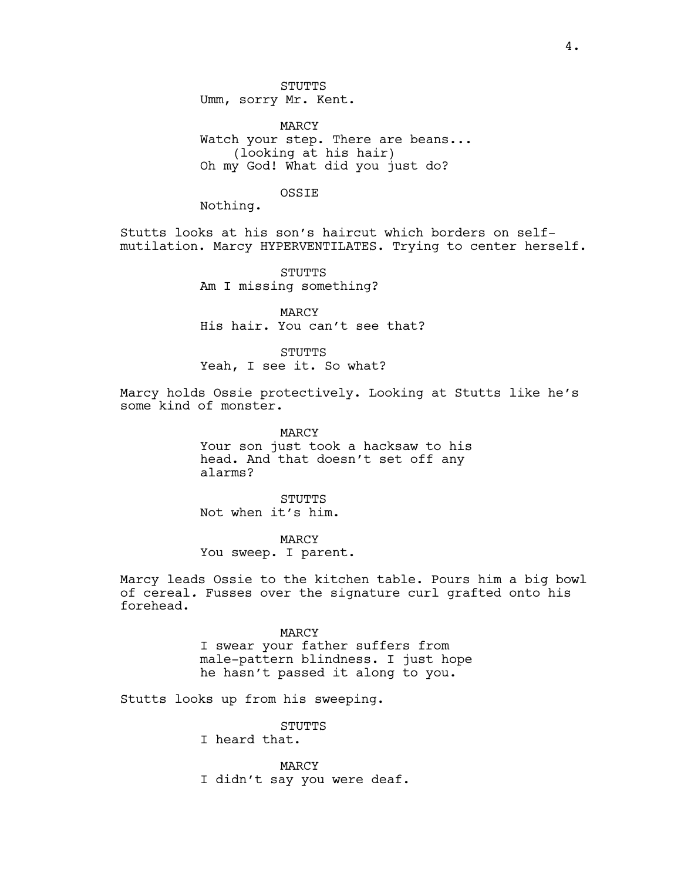MARCY Watch your step. There are beans... (looking at his hair) Oh my God! What did you just do?

### OSSIE

Nothing.

Stutts looks at his son's haircut which borders on selfmutilation. Marcy HYPERVENTILATES. Trying to center herself.

> STUTTS Am I missing something?

MARCY His hair. You can't see that?

**STUTTS** Yeah, I see it. So what?

Marcy holds Ossie protectively. Looking at Stutts like he's some kind of monster.

> MARCY Your son just took a hacksaw to his head. And that doesn't set off any alarms?

STUTTS Not when it's him.

MARCY You sweep. I parent.

Marcy leads Ossie to the kitchen table. Pours him a big bowl of cereal*.* Fusses over the signature curl grafted onto his forehead.

> MARCY I swear your father suffers from male-pattern blindness. I just hope he hasn't passed it along to you.

Stutts looks up from his sweeping.

STUTTS

I heard that.

MARCY I didn't say you were deaf.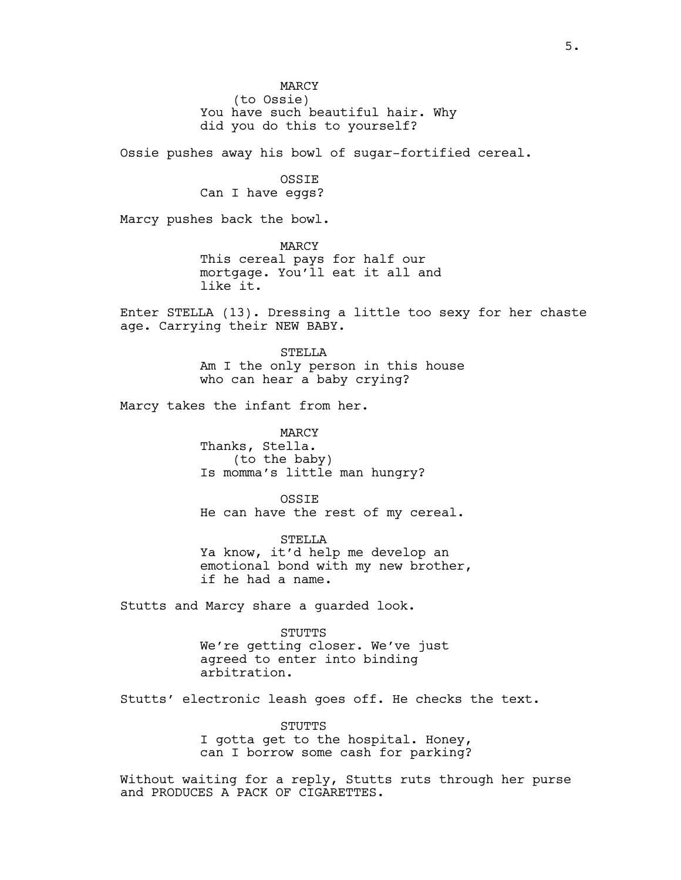MARCY (to Ossie) You have such beautiful hair. Why did you do this to yourself?

Ossie pushes away his bowl of sugar-fortified cereal.

OSSIE Can I have eggs?

Marcy pushes back the bowl.

MARCY This cereal pays for half our mortgage. You'll eat it all and like it.

Enter STELLA (13). Dressing a little too sexy for her chaste age. Carrying their NEW BABY.

> STELLA Am I the only person in this house who can hear a baby crying?

Marcy takes the infant from her.

MARCY Thanks, Stella. (to the baby) Is momma's little man hungry?

**OSSTE** He can have the rest of my cereal.

STELLA Ya know, it'd help me develop an emotional bond with my new brother, if he had a name.

Stutts and Marcy share a guarded look.

STUTTS We're getting closer. We've just agreed to enter into binding arbitration.

Stutts' electronic leash goes off. He checks the text.

STUTTS I gotta get to the hospital. Honey, can I borrow some cash for parking?

Without waiting for a reply, Stutts ruts through her purse and PRODUCES A PACK OF CIGARETTES.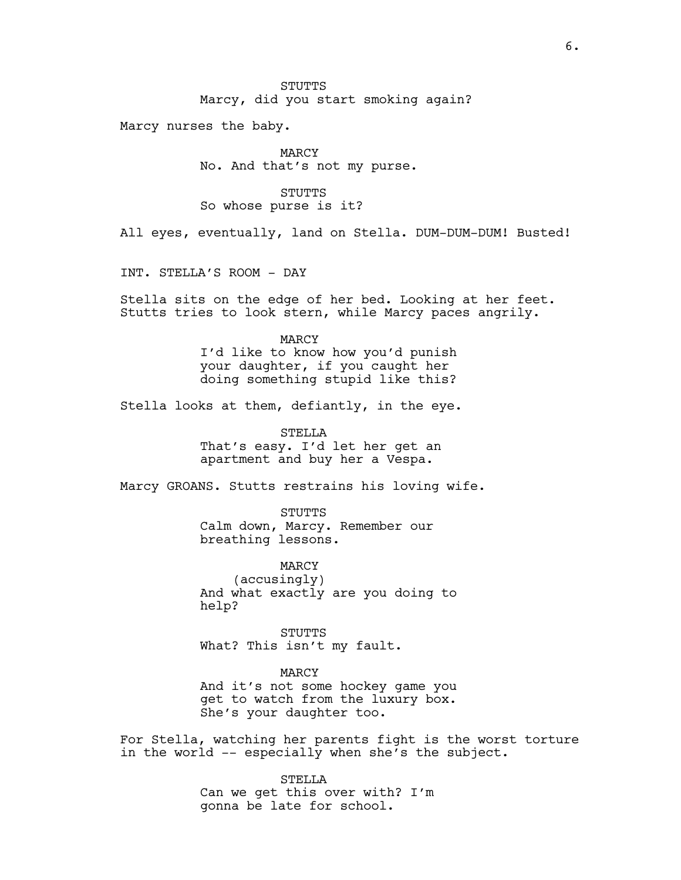Marcy, did you start smoking again?

Marcy nurses the baby.

MARCY No. And that's not my purse.

### STUTTS

So whose purse is it?

All eyes, eventually, land on Stella. DUM-DUM-DUM! Busted!

INT. STELLA'S ROOM - DAY

Stella sits on the edge of her bed. Looking at her feet. Stutts tries to look stern, while Marcy paces angrily.

## MARCY

I'd like to know how you'd punish your daughter, if you caught her doing something stupid like this?

Stella looks at them, defiantly, in the eye.

STELLA That's easy. I'd let her get an apartment and buy her a Vespa.

Marcy GROANS. Stutts restrains his loving wife.

STUTTS Calm down, Marcy. Remember our breathing lessons.

MARCY (accusingly) And what exactly are you doing to help?

STUTTS What? This isn't my fault.

MARCY

And it's not some hockey game you get to watch from the luxury box. She's your daughter too.

For Stella, watching her parents fight is the worst torture in the world -- especially when she's the subject.

> STELLA Can we get this over with? I'm gonna be late for school.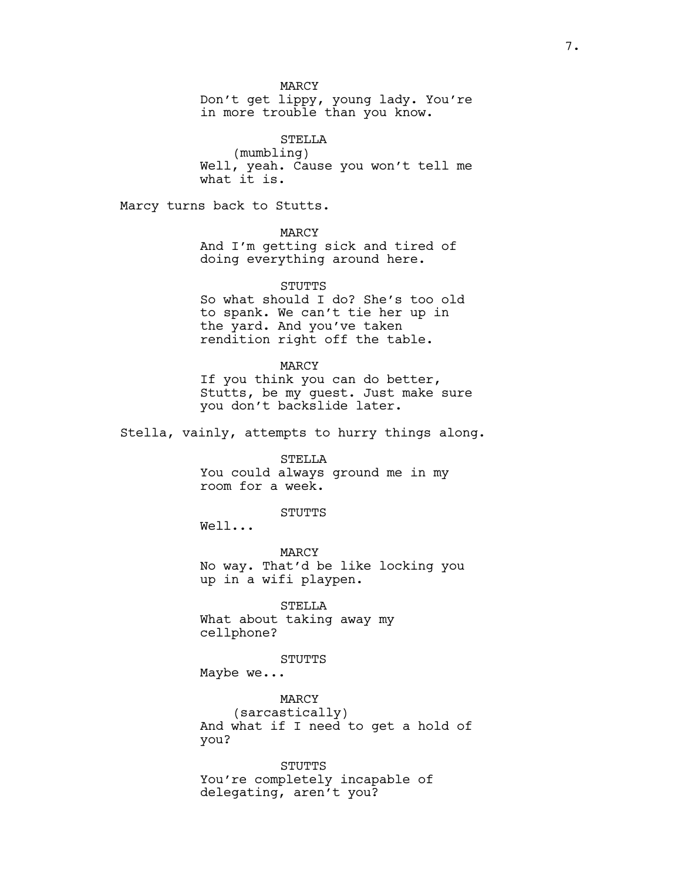MARCY

Don't get lippy, young lady. You're in more trouble than you know.

STELLA (mumbling) Well, yeah. Cause you won't tell me what it is.

Marcy turns back to Stutts.

MARCY And I'm getting sick and tired of doing everything around here.

**STUTTS** So what should I do? She's too old to spank. We can't tie her up in the yard. And you've taken rendition right off the table.

MARCY If you think you can do better, Stutts, be my guest. Just make sure you don't backslide later.

Stella, vainly, attempts to hurry things along.

STELLA You could always ground me in my room for a week.

**STUTTS** 

Well...

MARCY No way. That'd be like locking you up in a wifi playpen.

STELLA What about taking away my cellphone?

STUTTS Maybe we...

MARCY (sarcastically)

And what if I need to get a hold of you?

**STUTTS** You're completely incapable of delegating, aren't you?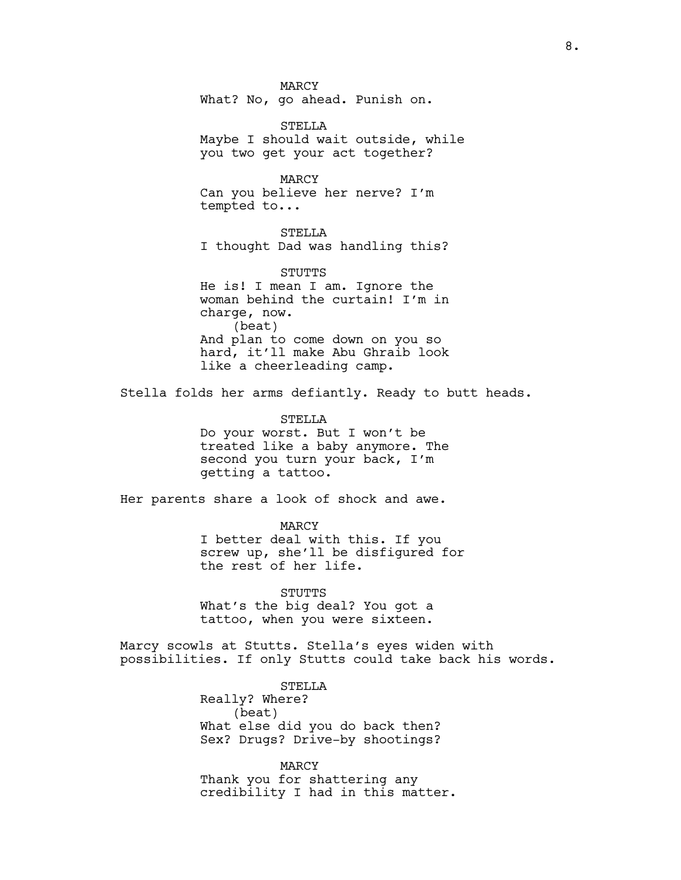MARCY What? No, go ahead. Punish on.

STELLA Maybe I should wait outside, while you two get your act together?

MARCY Can you believe her nerve? I'm tempted to...

STELLA I thought Dad was handling this?

STUTTS He is! I mean I am. Ignore the woman behind the curtain! I'm in charge, now. (beat) And plan to come down on you so hard, it'll make Abu Ghraib look like a cheerleading camp.

Stella folds her arms defiantly. Ready to butt heads.

STELLA Do your worst. But I won't be treated like a baby anymore. The second you turn your back, I'm getting a tattoo.

Her parents share a look of shock and awe.

MARCY I better deal with this. If you screw up, she'll be disfigured for the rest of her life.

STUTTS What's the big deal? You got a tattoo, when you were sixteen.

Marcy scowls at Stutts. Stella's eyes widen with possibilities. If only Stutts could take back his words.

> STELLA Really? Where? (beat) What else did you do back then? Sex? Drugs? Drive-by shootings?

MARCY Thank you for shattering any credibility I had in this matter.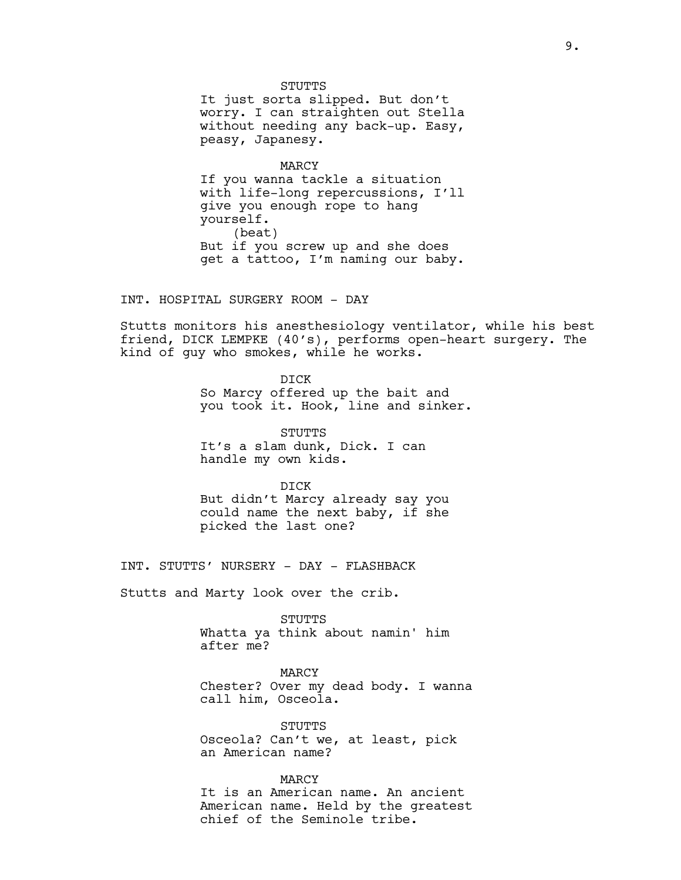STUTTS It just sorta slipped. But don't worry. I can straighten out Stella without needing any back-up. Easy, peasy, Japanesy.

MARCY

If you wanna tackle a situation with life-long repercussions, I'll give you enough rope to hang yourself. (beat) But if you screw up and she does get a tattoo, I'm naming our baby.

INT. HOSPITAL SURGERY ROOM - DAY

Stutts monitors his anesthesiology ventilator, while his best friend, DICK LEMPKE (40's), performs open-heart surgery. The kind of guy who smokes, while he works.

> DICK So Marcy offered up the bait and you took it. Hook, line and sinker.

STUTTS It's a slam dunk, Dick. I can handle my own kids.

DICK But didn't Marcy already say you could name the next baby, if she picked the last one?

INT. STUTTS' NURSERY - DAY - FLASHBACK

Stutts and Marty look over the crib.

STUTTS Whatta ya think about namin' him after me?

MARCY Chester? Over my dead body. I wanna call him, Osceola.

STUTTS Osceola? Can't we, at least, pick an American name?

MARCY It is an American name. An ancient American name. Held by the greatest chief of the Seminole tribe.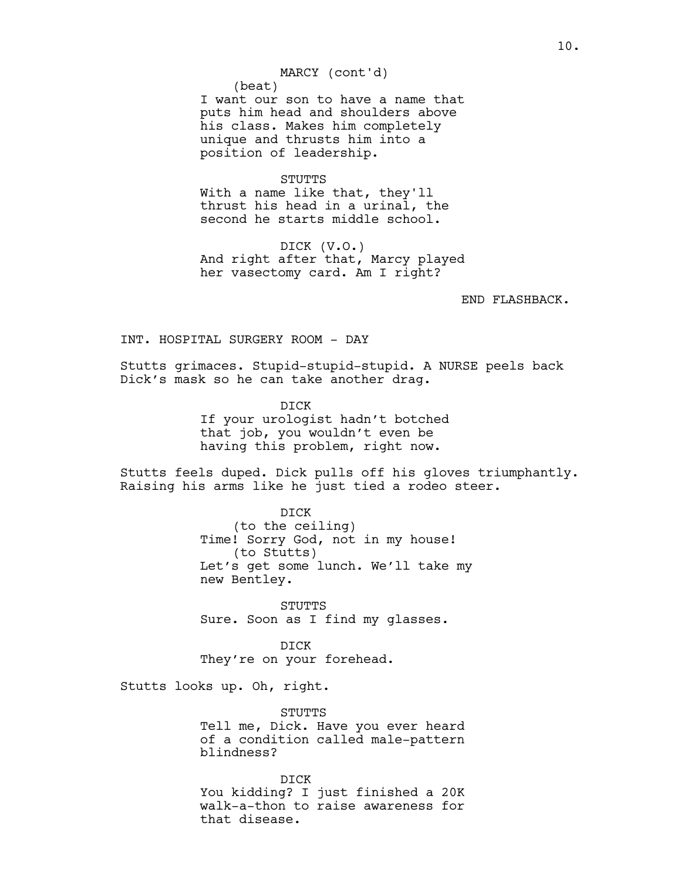### MARCY (cont'd)

(beat) I want our son to have a name that puts him head and shoulders above his class. Makes him completely unique and thrusts him into a position of leadership.

### STUTTS

With a name like that, they'll thrust his head in a urinal, the second he starts middle school.

DICK (V.O.) And right after that, Marcy played her vasectomy card. Am I right?

END FLASHBACK.

INT. HOSPITAL SURGERY ROOM - DAY

Stutts grimaces. Stupid-stupid-stupid. A NURSE peels back Dick's mask so he can take another drag.

> DICK If your urologist hadn't botched that job, you wouldn't even be having this problem, right now.

Stutts feels duped. Dick pulls off his gloves triumphantly. Raising his arms like he just tied a rodeo steer.

> DICK (to the ceiling) Time! Sorry God, not in my house! (to Stutts) Let's get some lunch. We'll take my new Bentley.

STUTTS Sure. Soon as I find my glasses.

DICK They're on your forehead.

Stutts looks up. Oh, right.

STUTTS

Tell me, Dick. Have you ever heard of a condition called male-pattern blindness?

DICK You kidding? I just finished a 20K walk-a-thon to raise awareness for that disease.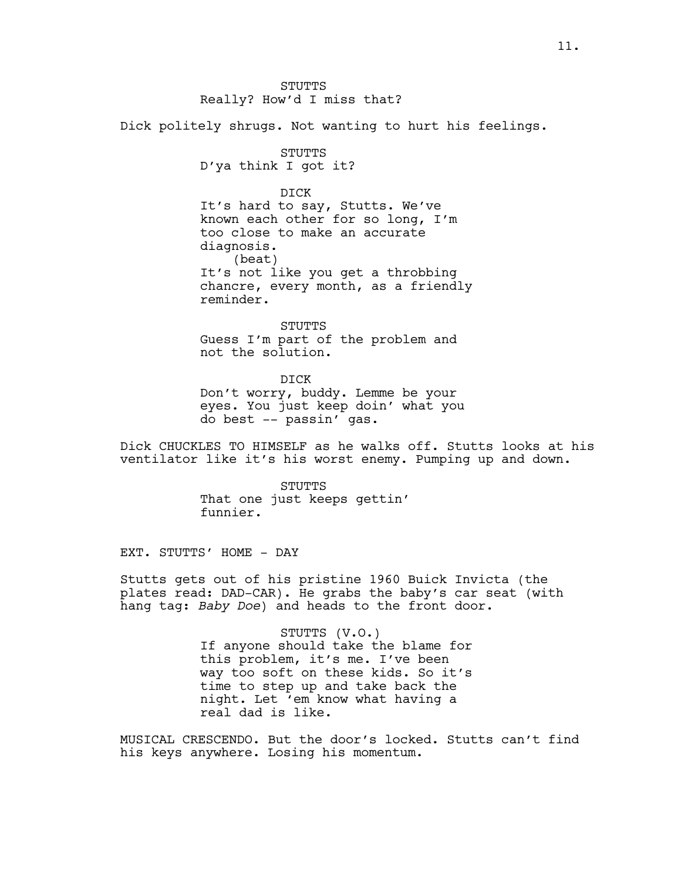### STUTTS Really? How'd I miss that?

Dick politely shrugs. Not wanting to hurt his feelings.

STUTTS

D'ya think I got it?

DICK

It's hard to say, Stutts. We've known each other for so long, I'm too close to make an accurate diagnosis. (beat) It's not like you get a throbbing chancre, every month, as a friendly reminder.

STUTTS Guess I'm part of the problem and not the solution.

DICK Don't worry, buddy. Lemme be your eyes. You just keep doin' what you do best -- passin' gas.

Dick CHUCKLES TO HIMSELF as he walks off. Stutts looks at his ventilator like it's his worst enemy. Pumping up and down.

> STUTTS That one just keeps gettin' funnier.

EXT. STUTTS' HOME - DAY

Stutts gets out of his pristine 1960 Buick Invicta (the plates read: DAD-CAR). He grabs the baby's car seat (with hang tag: *Baby Doe*) and heads to the front door.

> STUTTS (V.O.) If anyone should take the blame for this problem, it's me. I've been way too soft on these kids. So it's time to step up and take back the night. Let 'em know what having a real dad is like.

MUSICAL CRESCENDO. But the door's locked. Stutts can't find his keys anywhere. Losing his momentum.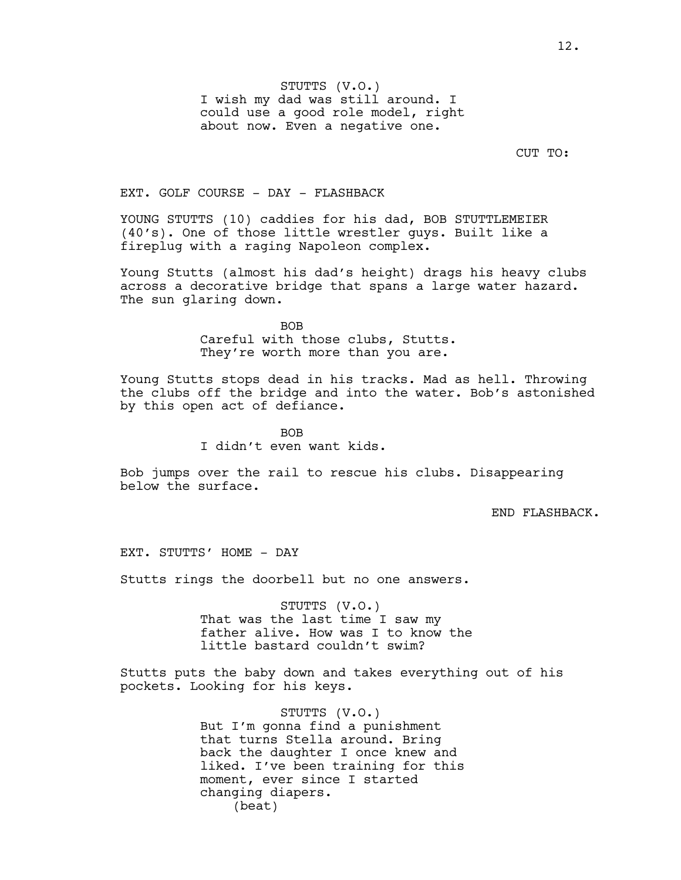STUTTS (V.O.) I wish my dad was still around. I could use a good role model, right about now. Even a negative one.

CUT TO:

#### EXT. GOLF COURSE - DAY - FLASHBACK

YOUNG STUTTS (10) caddies for his dad, BOB STUTTLEMEIER (40's). One of those little wrestler guys. Built like a fireplug with a raging Napoleon complex.

Young Stutts (almost his dad's height) drags his heavy clubs across a decorative bridge that spans a large water hazard. The sun glaring down.

> BOB Careful with those clubs, Stutts. They're worth more than you are.

Young Stutts stops dead in his tracks. Mad as hell. Throwing the clubs off the bridge and into the water. Bob's astonished by this open act of defiance.

> BOB I didn't even want kids.

Bob jumps over the rail to rescue his clubs. Disappearing below the surface.

END FLASHBACK.

EXT. STUTTS' HOME - DAY

Stutts rings the doorbell but no one answers.

STUTTS (V.O.) That was the last time I saw my father alive. How was I to know the little bastard couldn't swim?

Stutts puts the baby down and takes everything out of his pockets. Looking for his keys.

> STUTTS (V.O.) But I'm gonna find a punishment that turns Stella around. Bring back the daughter I once knew and liked. I've been training for this moment, ever since I started changing diapers. (beat)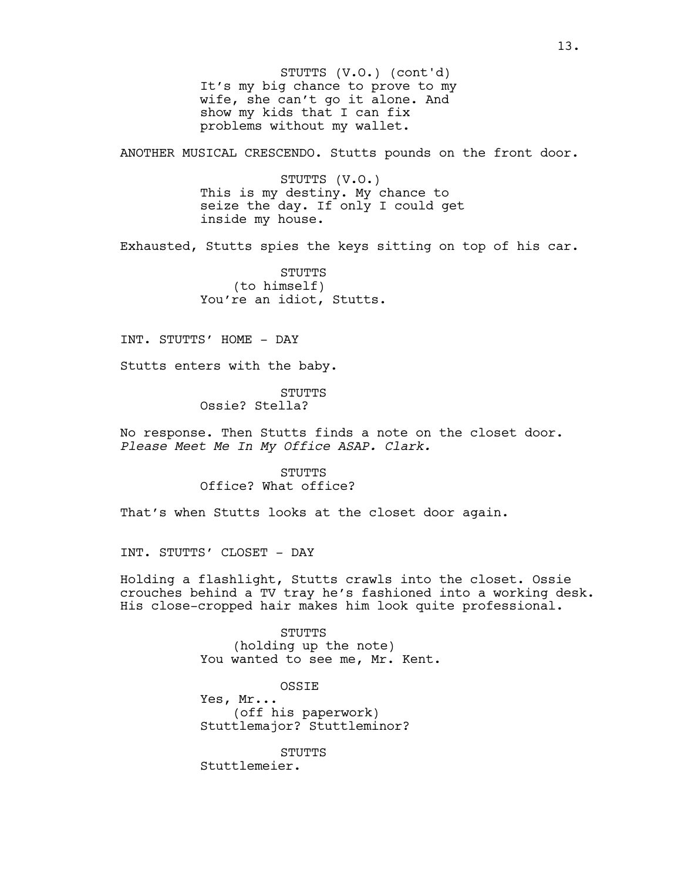It's my big chance to prove to my wife, she can't go it alone. And show my kids that I can fix problems without my wallet. STUTTS (V.O.) (cont'd)

ANOTHER MUSICAL CRESCENDO. Stutts pounds on the front door.

STUTTS (V.O.) This is my destiny. My chance to seize the day. If only I could get inside my house.

Exhausted, Stutts spies the keys sitting on top of his car.

STUTTS (to himself) You're an idiot, Stutts.

INT. STUTTS' HOME - DAY

Stutts enters with the baby.

STUTTS Ossie? Stella?

No response. Then Stutts finds a note on the closet door. *Please Meet Me In My Office ASAP. Clark.*

> STUTTS Office? What office?

That's when Stutts looks at the closet door again.

INT. STUTTS' CLOSET - DAY

Holding a flashlight, Stutts crawls into the closet. Ossie crouches behind a TV tray he's fashioned into a working desk. His close-cropped hair makes him look quite professional.

> STUTTS (holding up the note) You wanted to see me, Mr. Kent.

OSSIE Yes, Mr... (off his paperwork) Stuttlemajor? Stuttleminor?

STUTTS Stuttlemeier.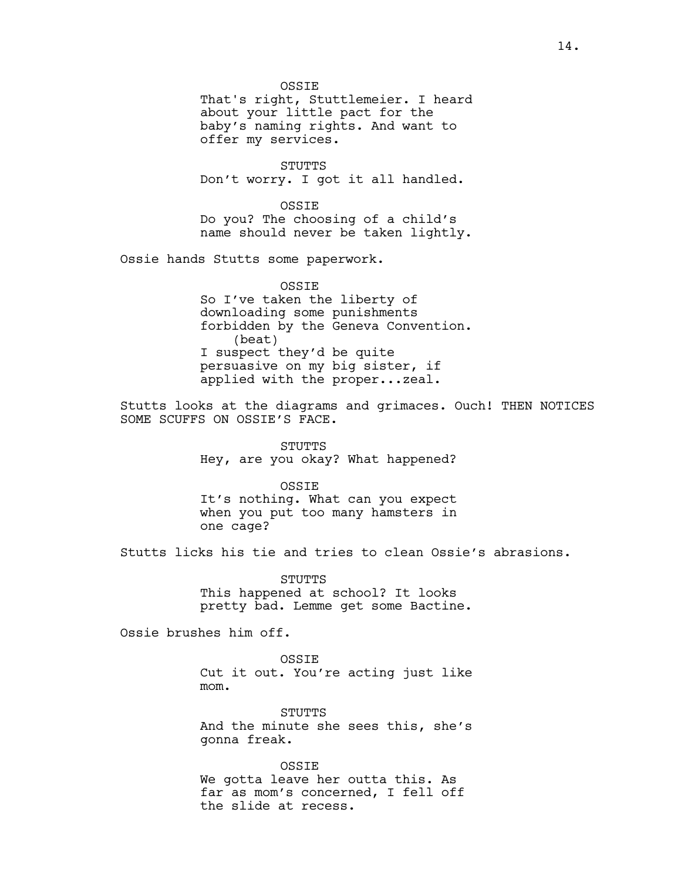**OSSTE** That's right, Stuttlemeier. I heard about your little pact for the baby's naming rights. And want to offer my services.

STUTTS Don't worry. I got it all handled.

OSSIE Do you? The choosing of a child's name should never be taken lightly.

Ossie hands Stutts some paperwork.

**OSSTE** So I've taken the liberty of downloading some punishments forbidden by the Geneva Convention. (beat) I suspect they'd be quite persuasive on my big sister, if applied with the proper...zeal.

Stutts looks at the diagrams and grimaces. Ouch! THEN NOTICES SOME SCUFFS ON OSSIE'S FACE.

> STUTTS Hey, are you okay? What happened?

OSSIE It's nothing. What can you expect when you put too many hamsters in one cage?

Stutts licks his tie and tries to clean Ossie's abrasions.

**STUTTS** This happened at school? It looks pretty bad. Lemme get some Bactine.

Ossie brushes him off.

OSSIE Cut it out. You're acting just like mom.

STUTTS And the minute she sees this, she's gonna freak.

OSSIE We gotta leave her outta this. As far as mom's concerned, I fell off the slide at recess.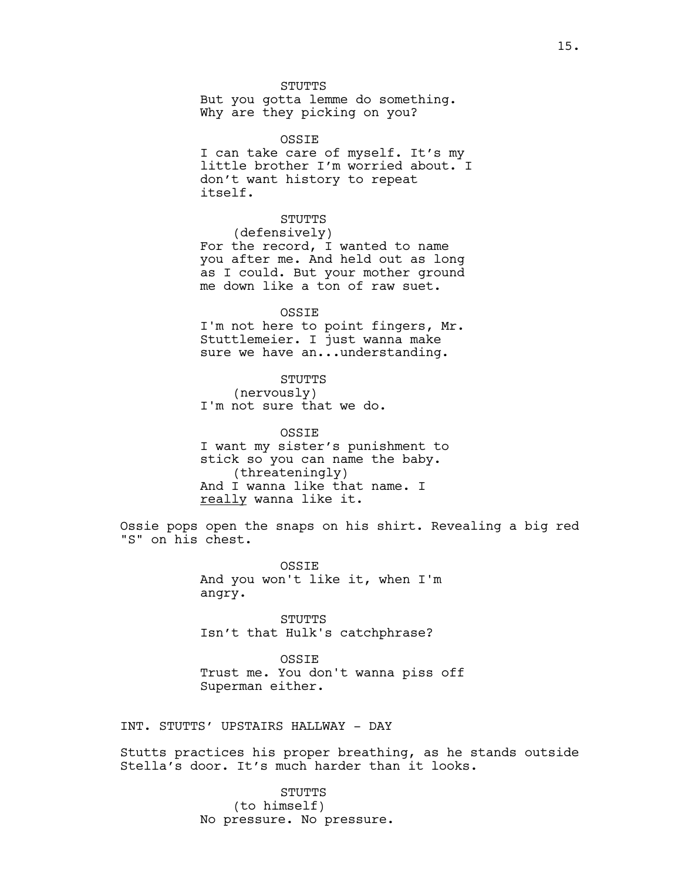**STUTTS** But you gotta lemme do something. Why are they picking on you?

OSSIE I can take care of myself. It's my little brother I'm worried about. I don't want history to repeat itself.

STUTTS (defensively) For the record, I wanted to name you after me. And held out as long as I could. But your mother ground me down like a ton of raw suet.

OSSIE I'm not here to point fingers, Mr. Stuttlemeier. I just wanna make sure we have an...understanding.

STUTTS (nervously) I'm not sure that we do.

OSSIE I want my sister's punishment to stick so you can name the baby. (threateningly) And I wanna like that name. I really wanna like it.

Ossie pops open the snaps on his shirt. Revealing a big red "S" on his chest.

> OSSIE And you won't like it, when I'm angry.

STUTTS Isn't that Hulk's catchphrase?

OSSIE Trust me. You don't wanna piss off Superman either.

INT. STUTTS' UPSTAIRS HALLWAY - DAY

Stutts practices his proper breathing, as he stands outside Stella's door. It's much harder than it looks.

> STUTTS (to himself) No pressure. No pressure.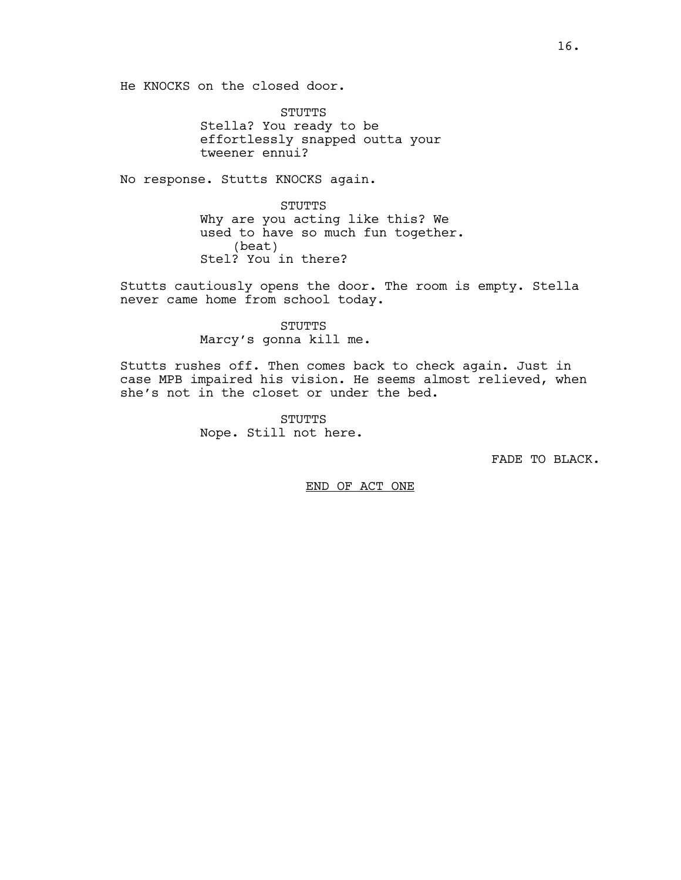He KNOCKS on the closed door.

STUTTS Stella? You ready to be effortlessly snapped outta your tweener ennui?

No response. Stutts KNOCKS again.

STUTTS Why are you acting like this? We used to have so much fun together. (beat) Stel? You in there?

Stutts cautiously opens the door. The room is empty. Stella never came home from school today.

> STUTTS Marcy's gonna kill me.

Stutts rushes off. Then comes back to check again. Just in case MPB impaired his vision. He seems almost relieved, when she's not in the closet or under the bed.

> STUTTS Nope. Still not here.

> > FADE TO BLACK.

END OF ACT ONE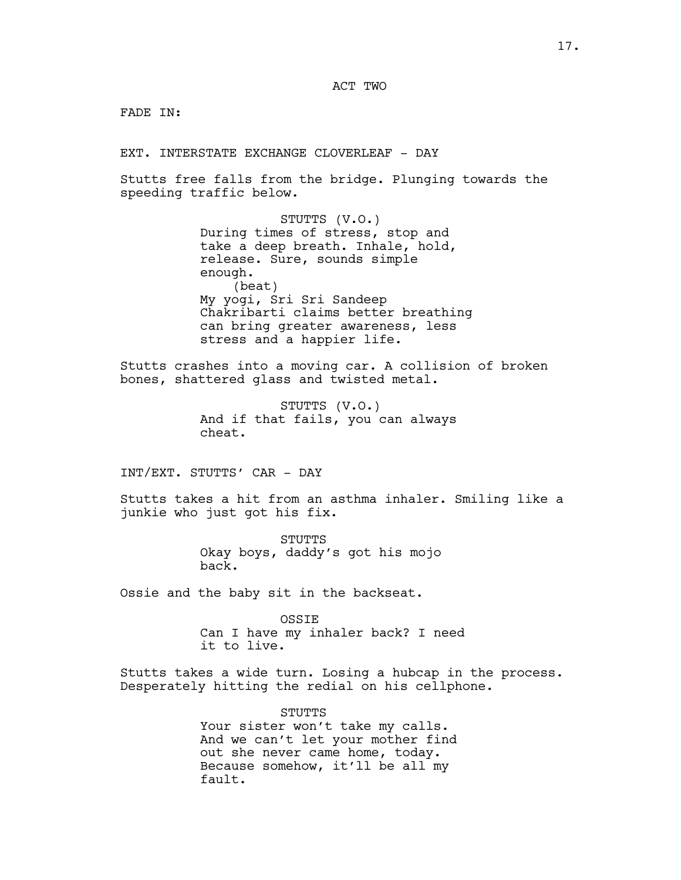FADE IN:

EXT. INTERSTATE EXCHANGE CLOVERLEAF - DAY

Stutts free falls from the bridge. Plunging towards the speeding traffic below.

> STUTTS (V.O.) During times of stress, stop and take a deep breath. Inhale, hold, release. Sure, sounds simple enough. (beat) My yogi, Sri Sri Sandeep Chakribarti claims better breathing can bring greater awareness, less stress and a happier life.

Stutts crashes into a moving car. A collision of broken bones, shattered glass and twisted metal.

> STUTTS (V.O.) And if that fails, you can always cheat.

INT/EXT. STUTTS' CAR - DAY

Stutts takes a hit from an asthma inhaler. Smiling like a junkie who just got his fix.

> STUTTS Okay boys, daddy's got his mojo back.

Ossie and the baby sit in the backseat.

OSSIE Can I have my inhaler back? I need it to live.

Stutts takes a wide turn. Losing a hubcap in the process. Desperately hitting the redial on his cellphone.

> STUTTS Your sister won't take my calls. And we can't let your mother find out she never came home, today. Because somehow, it'll be all my fault.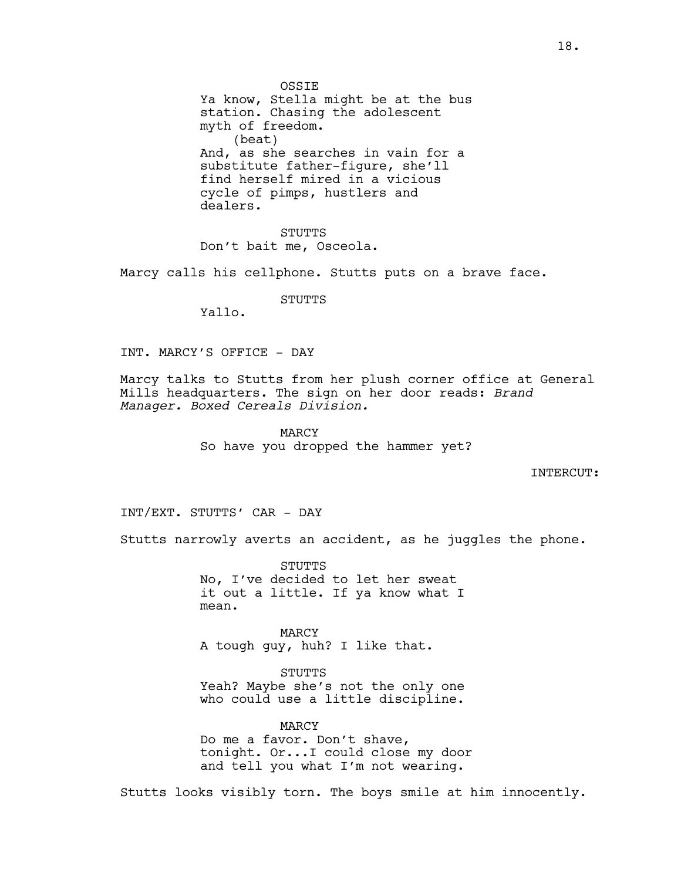**OSSTE** Ya know, Stella might be at the bus station. Chasing the adolescent myth of freedom. (beat) And, as she searches in vain for a substitute father-figure, she'll

find herself mired in a vicious cycle of pimps, hustlers and dealers.

STUTTS Don't bait me, Osceola.

Marcy calls his cellphone. Stutts puts on a brave face.

STUTTS

Yallo.

INT. MARCY'S OFFICE - DAY

Marcy talks to Stutts from her plush corner office at General Mills headquarters. The sign on her door reads: *Brand Manager. Boxed Cereals Division.*

> MARCY So have you dropped the hammer yet?

> > INTERCUT:

INT/EXT. STUTTS' CAR - DAY

Stutts narrowly averts an accident, as he juggles the phone.

STUTTS No, I've decided to let her sweat it out a little. If ya know what I mean.

MARCY A tough guy, huh? I like that.

STUTTS Yeah? Maybe she's not the only one who could use a little discipline.

MARCY Do me a favor. Don't shave, tonight. Or...I could close my door and tell you what I'm not wearing.

Stutts looks visibly torn. The boys smile at him innocently.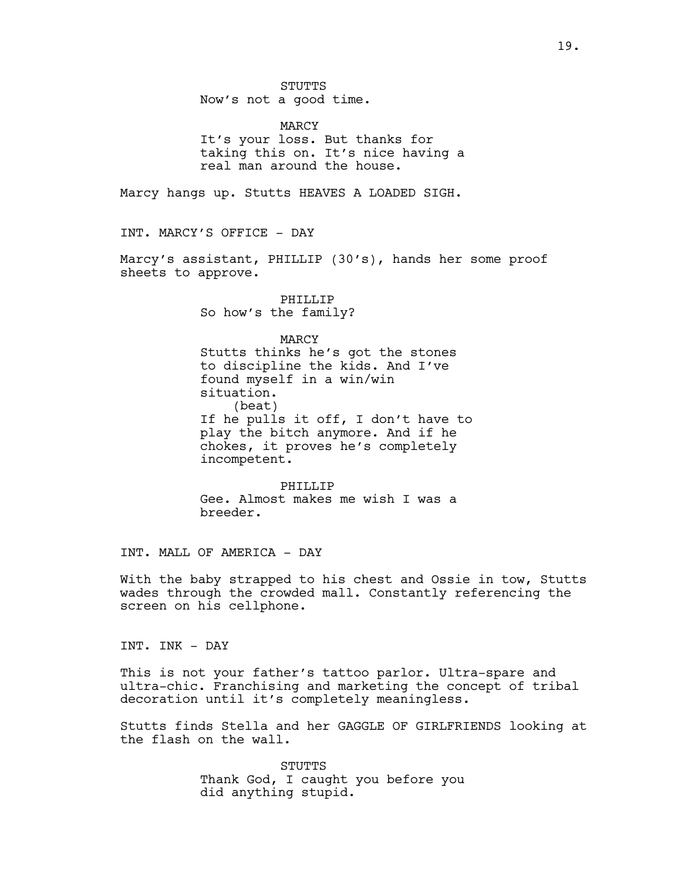**STUTTS** Now's not a good time.

MARCY It's your loss. But thanks for taking this on. It's nice having a real man around the house.

Marcy hangs up. Stutts HEAVES A LOADED SIGH.

INT. MARCY'S OFFICE - DAY

Marcy's assistant, PHILLIP (30's), hands her some proof sheets to approve.

> PHILLIP So how's the family?

> > MARCY

Stutts thinks he's got the stones to discipline the kids. And I've found myself in a win/win situation. (beat) If he pulls it off, I don't have to play the bitch anymore. And if he chokes, it proves he's completely incompetent.

PHILLIP Gee. Almost makes me wish I was a breeder.

INT. MALL OF AMERICA - DAY

With the baby strapped to his chest and Ossie in tow, Stutts wades through the crowded mall. Constantly referencing the screen on his cellphone.

INT. INK - DAY

This is not your father's tattoo parlor. Ultra-spare and ultra-chic. Franchising and marketing the concept of tribal decoration until it's completely meaningless.

Stutts finds Stella and her GAGGLE OF GIRLFRIENDS looking at the flash on the wall.

> STUTTS Thank God, I caught you before you did anything stupid.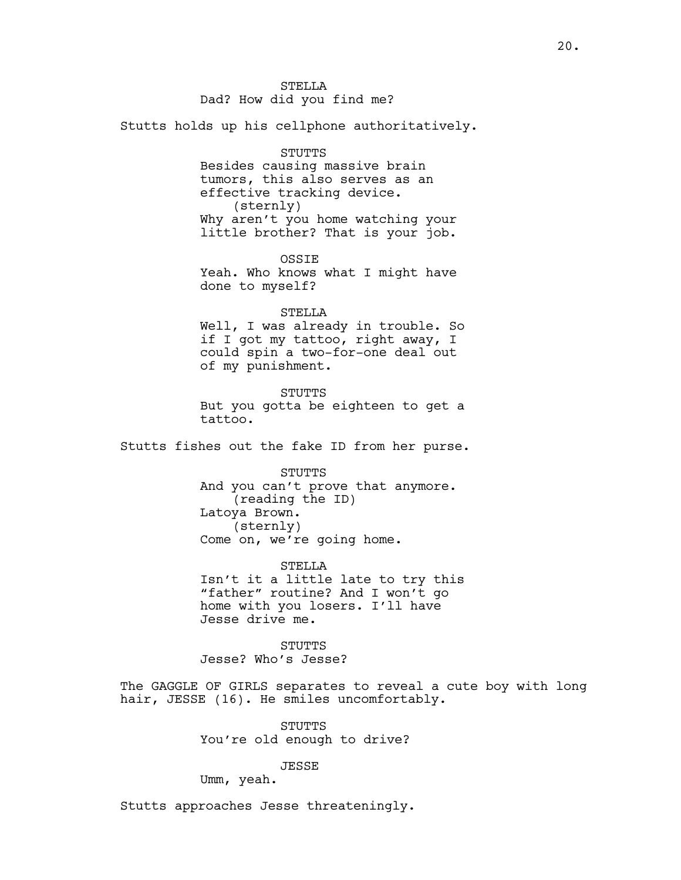STELLA Dad? How did you find me?

Stutts holds up his cellphone authoritatively.

STUTTS Besides causing massive brain tumors, this also serves as an effective tracking device. (sternly) Why aren't you home watching your little brother? That is your job.

**OSSTE** Yeah. Who knows what I might have done to myself?

STELLA Well, I was already in trouble. So if I got my tattoo, right away, I could spin a two-for-one deal out of my punishment.

STUTTS But you gotta be eighteen to get a tattoo.

Stutts fishes out the fake ID from her purse.

**STUTTS** And you can't prove that anymore. (reading the ID) Latoya Brown. (sternly) Come on, we're going home.

STELLA Isn't it a little late to try this "father" routine? And I won't go home with you losers. I'll have Jesse drive me.

**STUTTS** Jesse? Who's Jesse?

The GAGGLE OF GIRLS separates to reveal a cute boy with long hair, JESSE (16). He smiles uncomfortably.

> STUTTS You're old enough to drive?

> > JESSE

Umm, yeah.

Stutts approaches Jesse threateningly.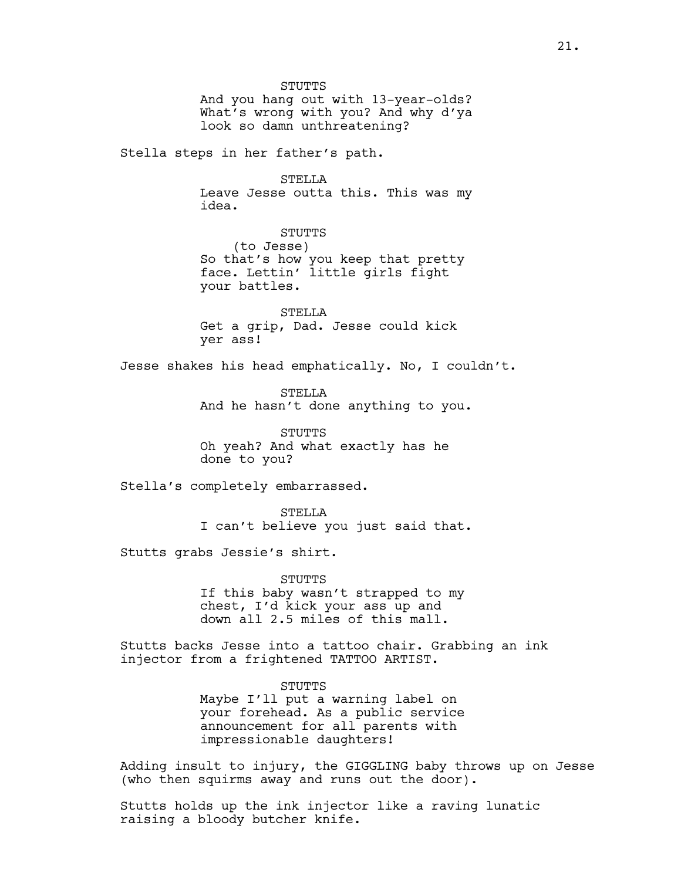STUTTS And you hang out with 13-year-olds? What's wrong with you? And why d'ya look so damn unthreatening?

Stella steps in her father's path.

STELLA Leave Jesse outta this. This was my idea.

STUTTS (to Jesse) So that's how you keep that pretty face. Lettin' little girls fight your battles.

STELLA Get a grip, Dad. Jesse could kick yer ass!

Jesse shakes his head emphatically. No, I couldn't.

STELLA And he hasn't done anything to you.

STUTTS Oh yeah? And what exactly has he done to you?

Stella's completely embarrassed.

STELLA I can't believe you just said that.

Stutts grabs Jessie's shirt.

STUTTS If this baby wasn't strapped to my chest, I'd kick your ass up and down all 2.5 miles of this mall.

Stutts backs Jesse into a tattoo chair. Grabbing an ink injector from a frightened TATTOO ARTIST.

> STUTTS Maybe I'll put a warning label on your forehead. As a public service announcement for all parents with impressionable daughters!

Adding insult to injury, the GIGGLING baby throws up on Jesse (who then squirms away and runs out the door).

Stutts holds up the ink injector like a raving lunatic raising a bloody butcher knife.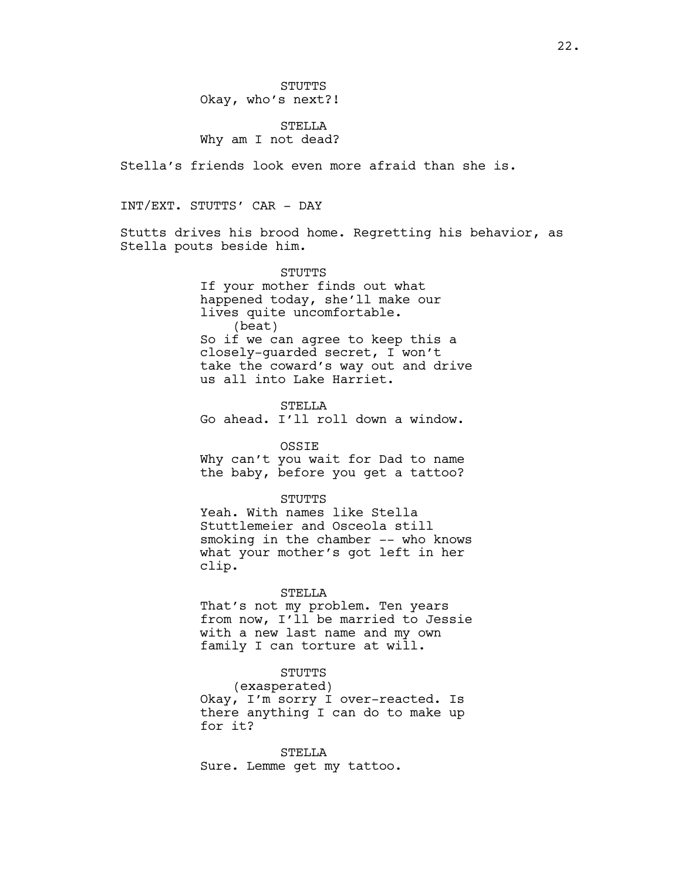### STELLA Why am I not dead?

Stella's friends look even more afraid than she is.

INT/EXT. STUTTS' CAR - DAY

Stutts drives his brood home. Regretting his behavior, as Stella pouts beside him.

> STUTTS If your mother finds out what happened today, she'll make our lives quite uncomfortable. (beat) So if we can agree to keep this a closely-guarded secret, I won't take the coward's way out and drive us all into Lake Harriet.

STELLA Go ahead. I'll roll down a window.

OSSIE Why can't you wait for Dad to name the baby, before you get a tattoo?

STUTTS Yeah. With names like Stella Stuttlemeier and Osceola still smoking in the chamber -- who knows what your mother's got left in her clip.

#### STELLA

That's not my problem. Ten years from now, I'll be married to Jessie with a new last name and my own family I can torture at will.

### STUTTS

(exasperated) Okay, I'm sorry I over-reacted. Is there anything I can do to make up for it?

STELLA Sure. Lemme get my tattoo.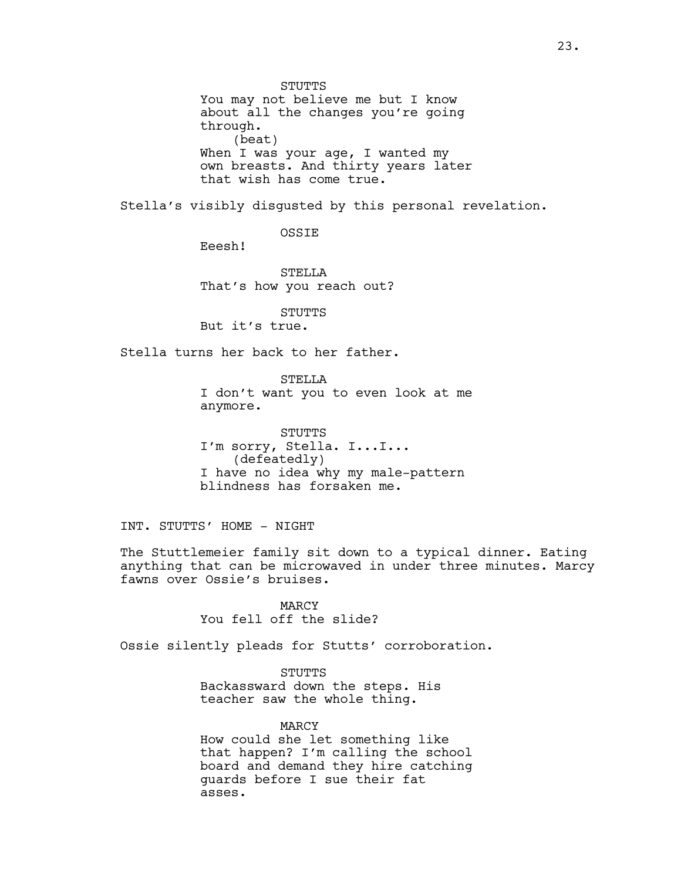**STUTTS** You may not believe me but I know about all the changes you're going through. (beat) When I was your age, I wanted my own breasts. And thirty years later that wish has come true.

Stella's visibly disgusted by this personal revelation.

OSSIE

Eeesh!

STELLA That's how you reach out?

STUTTS But it's true.

Stella turns her back to her father.

STELLA I don't want you to even look at me anymore.

STUTTS I'm sorry, Stella. I...I... (defeatedly) I have no idea why my male-pattern blindness has forsaken me.

INT. STUTTS' HOME - NIGHT

The Stuttlemeier family sit down to a typical dinner. Eating anything that can be microwaved in under three minutes. Marcy fawns over Ossie's bruises.

> MARCY You fell off the slide?

Ossie silently pleads for Stutts' corroboration.

STUTTS Backassward down the steps. His teacher saw the whole thing.

MARCY How could she let something like that happen? I'm calling the school board and demand they hire catching guards before I sue their fat asses.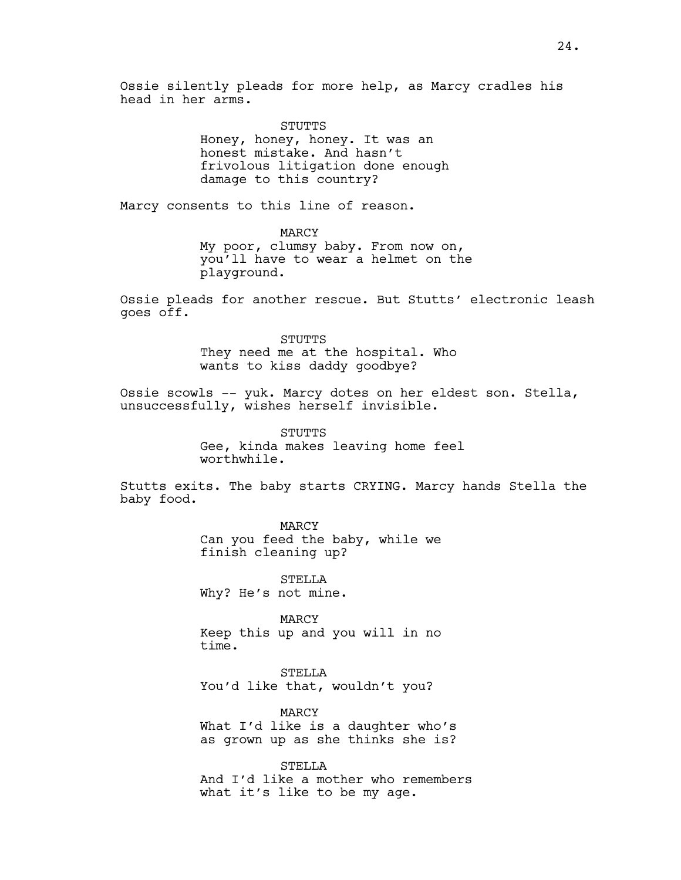Ossie silently pleads for more help, as Marcy cradles his head in her arms.

> STUTTS Honey, honey, honey. It was an honest mistake. And hasn't frivolous litigation done enough damage to this country?

Marcy consents to this line of reason.

MARCY My poor, clumsy baby. From now on, you'll have to wear a helmet on the playground.

Ossie pleads for another rescue. But Stutts' electronic leash goes off.

> STUTTS They need me at the hospital. Who wants to kiss daddy goodbye?

Ossie scowls -- yuk. Marcy dotes on her eldest son. Stella, unsuccessfully, wishes herself invisible.

> STUTTS Gee, kinda makes leaving home feel worthwhile.

Stutts exits. The baby starts CRYING. Marcy hands Stella the baby food.

> MARCY Can you feed the baby, while we finish cleaning up?

STELLA Why? He's not mine.

MARCY Keep this up and you will in no time.

STELLA You'd like that, wouldn't you?

MARCY What I'd like is a daughter who's as grown up as she thinks she is?

STELLA And I'd like a mother who remembers what it's like to be my age.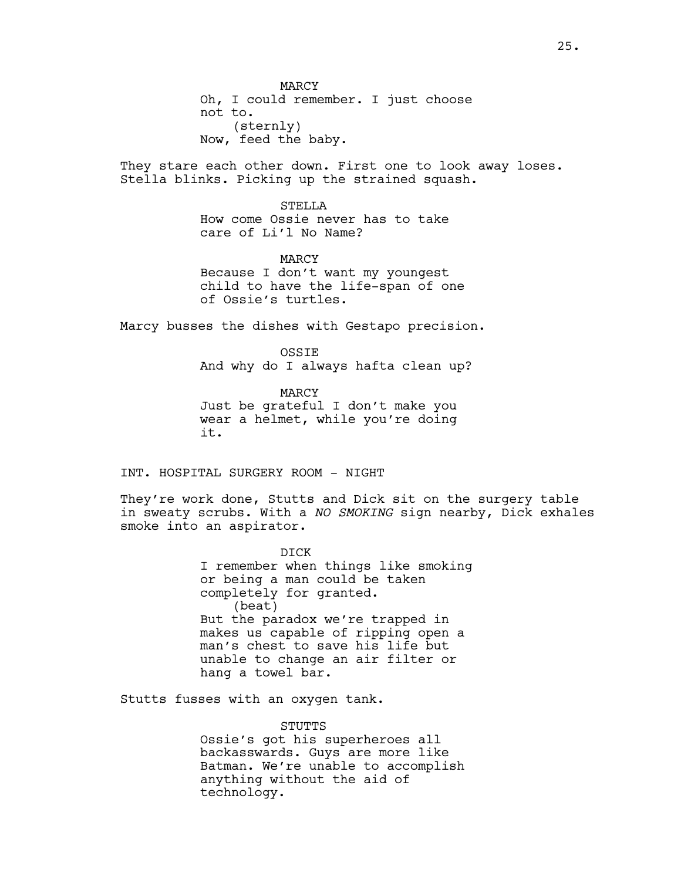MARCY Oh, I could remember. I just choose not to. (sternly) Now, feed the baby.

They stare each other down. First one to look away loses. Stella blinks. Picking up the strained squash.

> STELLA How come Ossie never has to take care of Li'l No Name?

MARCY Because I don't want my youngest child to have the life-span of one of Ossie's turtles.

Marcy busses the dishes with Gestapo precision.

OSSIE And why do I always hafta clean up?

MARCY Just be grateful I don't make you wear a helmet, while you're doing it.

INT. HOSPITAL SURGERY ROOM - NIGHT

They're work done, Stutts and Dick sit on the surgery table in sweaty scrubs. With a *NO SMOKING* sign nearby, Dick exhales smoke into an aspirator.

> DICK I remember when things like smoking or being a man could be taken completely for granted. (beat) But the paradox we're trapped in makes us capable of ripping open a man's chest to save his life but unable to change an air filter or hang a towel bar.

Stutts fusses with an oxygen tank.

STUTTS Ossie's got his superheroes all backasswards. Guys are more like Batman. We're unable to accomplish anything without the aid of technology.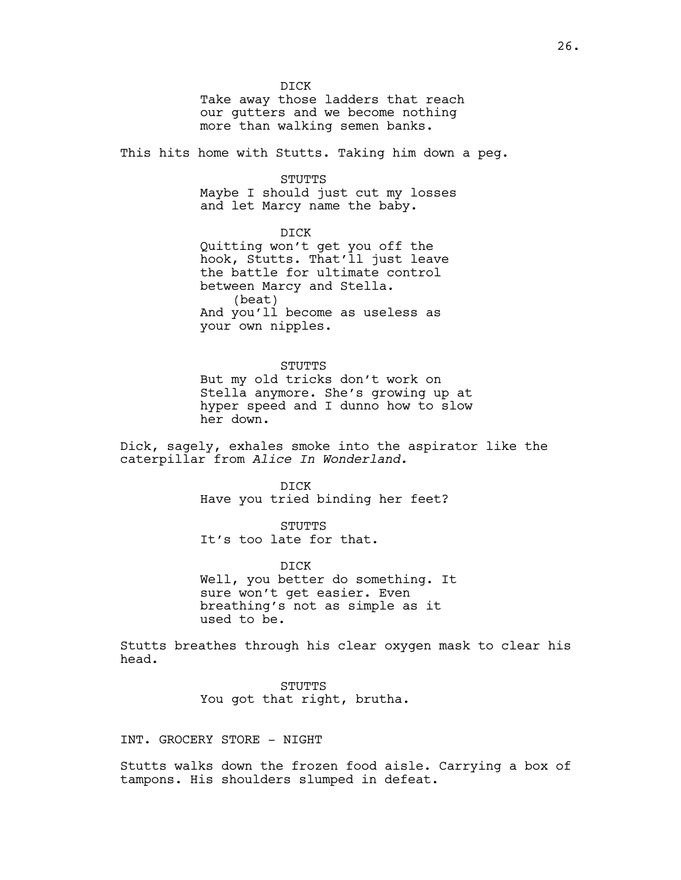DICK Take away those ladders that reach our gutters and we become nothing more than walking semen banks.

This hits home with Stutts. Taking him down a peg.

STUTTS

Maybe I should just cut my losses and let Marcy name the baby.

DICK Quitting won't get you off the hook, Stutts. That'll just leave the battle for ultimate control between Marcy and Stella. (beat) And you'll become as useless as your own nipples.

STUTTS

But my old tricks don't work on Stella anymore. She's growing up at hyper speed and I dunno how to slow her down.

Dick, sagely, exhales smoke into the aspirator like the caterpillar from *Alice In Wonderland.*

> DICK Have you tried binding her feet?

STUTTS It's too late for that.

DICK Well, you better do something. It sure won't get easier. Even breathing's not as simple as it used to be.

Stutts breathes through his clear oxygen mask to clear his head.

> STUTTS You got that right, brutha.

INT. GROCERY STORE - NIGHT

Stutts walks down the frozen food aisle. Carrying a box of tampons. His shoulders slumped in defeat.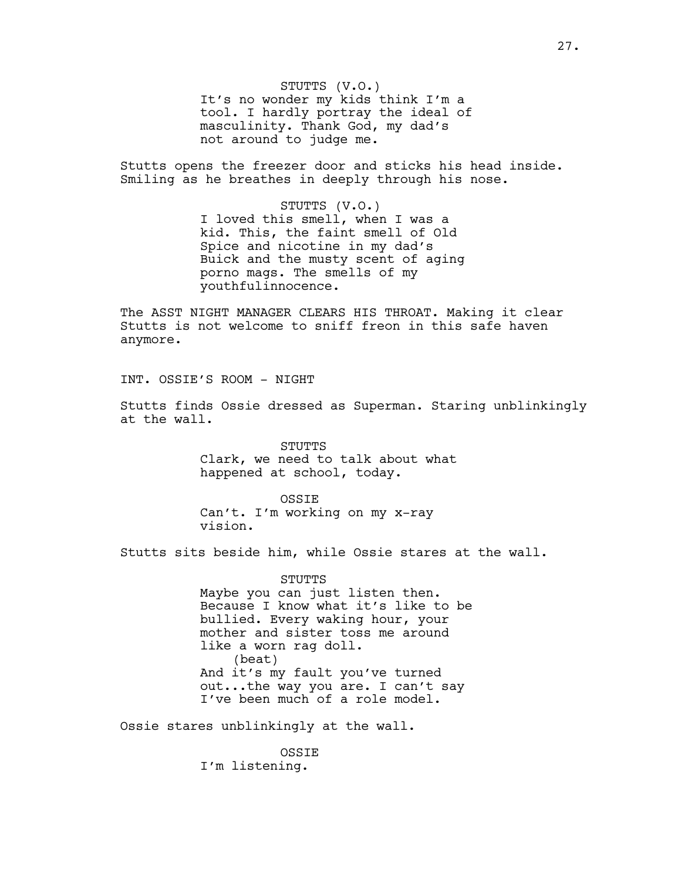STUTTS (V.O.) It's no wonder my kids think I'm a tool. I hardly portray the ideal of masculinity. Thank God, my dad's not around to judge me.

Stutts opens the freezer door and sticks his head inside. Smiling as he breathes in deeply through his nose.

> STUTTS (V.O.) I loved this smell, when I was a kid. This, the faint smell of Old Spice and nicotine in my dad's Buick and the musty scent of aging porno mags. The smells of my youthfulinnocence.

The ASST NIGHT MANAGER CLEARS HIS THROAT. Making it clear Stutts is not welcome to sniff freon in this safe haven anymore.

INT. OSSIE'S ROOM - NIGHT

Stutts finds Ossie dressed as Superman. Staring unblinkingly at the wall.

> STUTTS Clark, we need to talk about what happened at school, today.

**OSSTE** Can't. I'm working on my x-ray vision.

Stutts sits beside him, while Ossie stares at the wall.

STUTTS Maybe you can just listen then. Because I know what it's like to be bullied. Every waking hour, your mother and sister toss me around like a worn rag doll. (beat) And it's my fault you've turned out...the way you are. I can't say I've been much of a role model.

Ossie stares unblinkingly at the wall.

OSSIE I'm listening.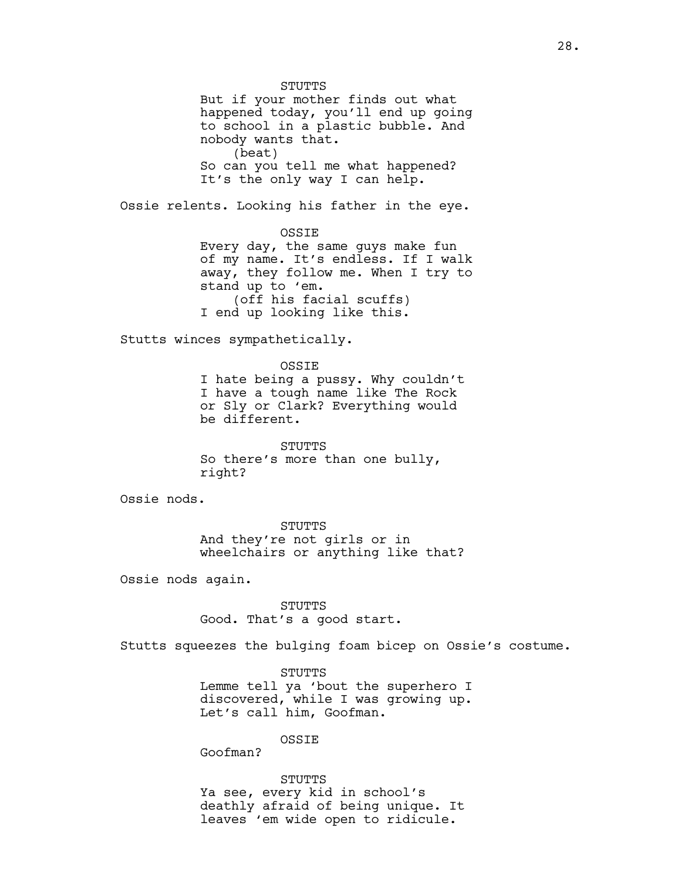**STUTTS** But if your mother finds out what happened today, you'll end up going to school in a plastic bubble. And nobody wants that. (beat) So can you tell me what happened? It's the only way I can help. Ossie relents. Looking his father in the eye. OSSIE Every day, the same guys make fun of my name. It's endless. If I walk away, they follow me. When I try to stand up to 'em. (off his facial scuffs) I end up looking like this. Stutts winces sympathetically. OSSIE I hate being a pussy. Why couldn't I have a tough name like The Rock or Sly or Clark? Everything would be different. STUTTS So there's more than one bully, right? Ossie nods. STUTTS And they're not girls or in wheelchairs or anything like that? Ossie nods again. STUTTS Good. That's a good start.

Stutts squeezes the bulging foam bicep on Ossie's costume.

STUTTS Lemme tell ya 'bout the superhero I discovered, while I was growing up. Let's call him, Goofman.

OSSIE

Goofman?

STUTTS

Ya see, every kid in school's deathly afraid of being unique. It leaves 'em wide open to ridicule.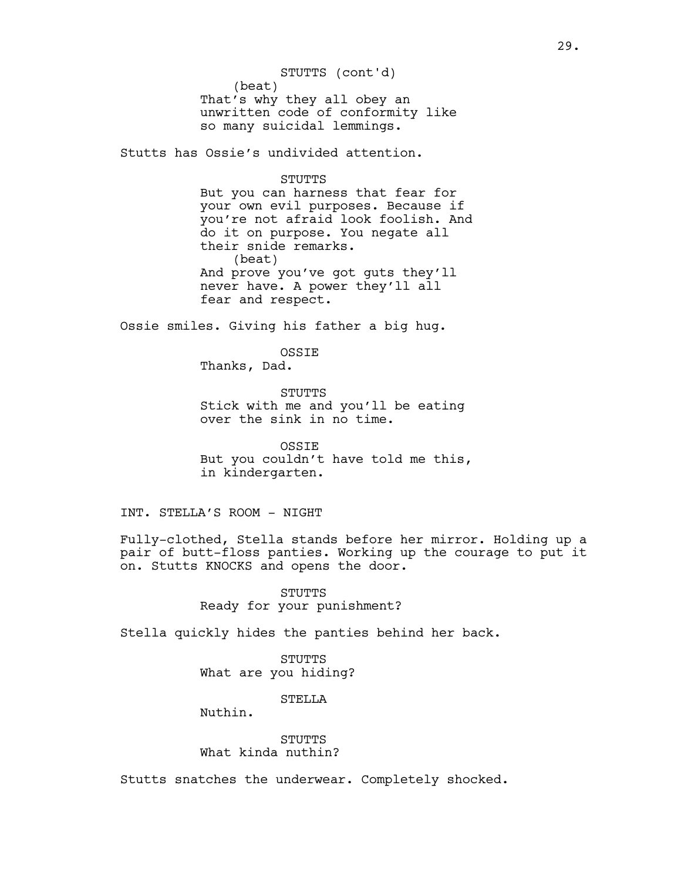(beat) That's why they all obey an unwritten code of conformity like so many suicidal lemmings. STUTTS (cont'd)

Stutts has Ossie's undivided attention.

#### STUTTS

But you can harness that fear for your own evil purposes. Because if you're not afraid look foolish. And do it on purpose. You negate all their snide remarks. (beat) And prove you've got guts they'll never have. A power they'll all fear and respect.

Ossie smiles. Giving his father a big hug.

**OSSTE** 

Thanks, Dad.

STUTTS Stick with me and you'll be eating over the sink in no time.

OSSIE But you couldn't have told me this, in kindergarten.

### INT. STELLA'S ROOM - NIGHT

Fully-clothed, Stella stands before her mirror. Holding up a pair of butt-floss panties. Working up the courage to put it on. Stutts KNOCKS and opens the door.

> STUTTS Ready for your punishment?

Stella quickly hides the panties behind her back.

STUTTS What are you hiding?

**STELLA** 

Nuthin.

STUTTS What kinda nuthin?

Stutts snatches the underwear. Completely shocked.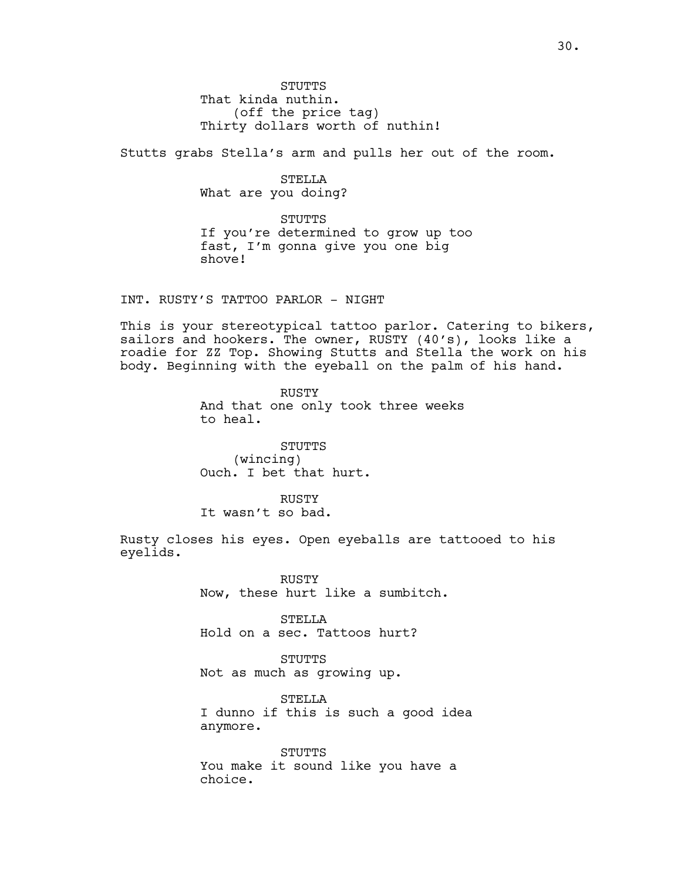**STUTTS** That kinda nuthin. (off the price tag) Thirty dollars worth of nuthin!

Stutts grabs Stella's arm and pulls her out of the room.

STELLA What are you doing?

STUTTS If you're determined to grow up too fast, I'm gonna give you one big shove!

INT. RUSTY'S TATTOO PARLOR - NIGHT

This is your stereotypical tattoo parlor. Catering to bikers, sailors and hookers. The owner, RUSTY (40's), looks like a roadie for ZZ Top. Showing Stutts and Stella the work on his body. Beginning with the eyeball on the palm of his hand.

> RUSTY And that one only took three weeks to heal.

STUTTS (wincing) Ouch. I bet that hurt.

RUSTY It wasn't so bad.

Rusty closes his eyes. Open eyeballs are tattooed to his eyelids.

> RUSTY Now, these hurt like a sumbitch.

STELLA Hold on a sec. Tattoos hurt?

STUTTS Not as much as growing up.

STELLA I dunno if this is such a good idea anymore.

STUTTS You make it sound like you have a choice.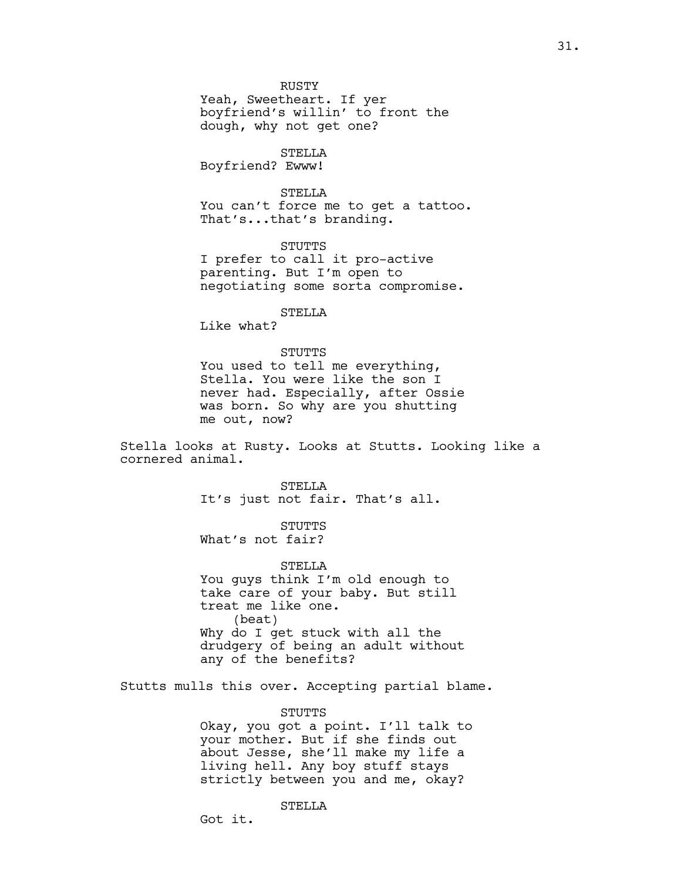Yeah, Sweetheart. If yer boyfriend's willin' to front the dough, why not get one?

### STELLA

Boyfriend? Ewww!

### STELLA

You can't force me to get a tattoo. That's...that's branding.

### STUTTS

I prefer to call it pro-active parenting. But I'm open to negotiating some sorta compromise.

### STELLA

Like what?

#### STUTTS

You used to tell me everything, Stella. You were like the son I never had. Especially, after Ossie was born. So why are you shutting me out, now?

Stella looks at Rusty. Looks at Stutts. Looking like a cornered animal.

> STELLA It's just not fair. That's all.

**STUTTS** What's not fair?

#### STELLA

You guys think I'm old enough to take care of your baby. But still treat me like one. (beat) Why do I get stuck with all the drudgery of being an adult without any of the benefits?

Stutts mulls this over. Accepting partial blame.

#### STUTTS

Okay, you got a point. I'll talk to your mother. But if she finds out about Jesse, she'll make my life a living hell. Any boy stuff stays strictly between you and me, okay?

STELLA

Got it.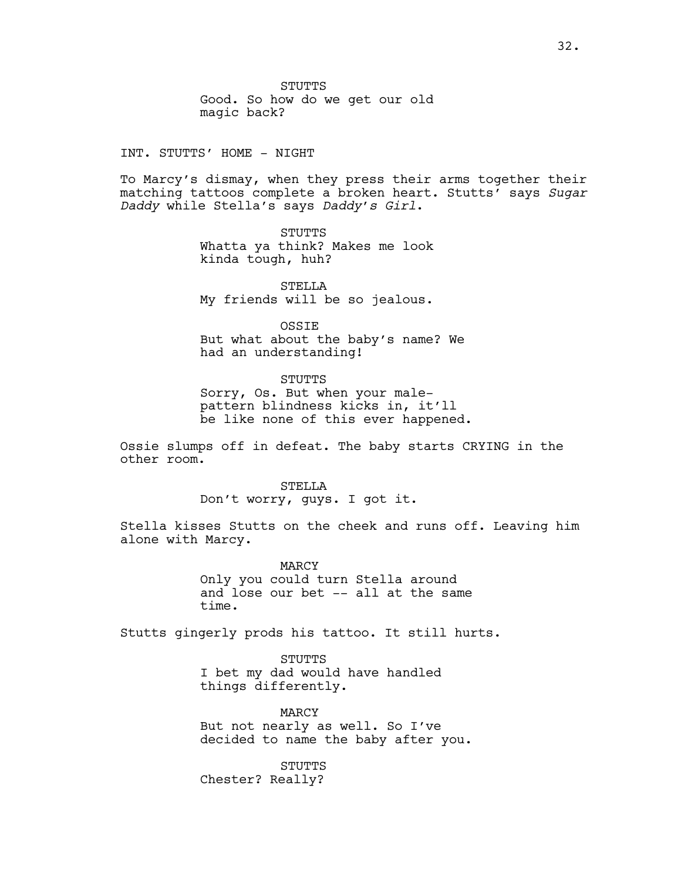STUTTS Good. So how do we get our old magic back?

INT. STUTTS' HOME - NIGHT

To Marcy's dismay, when they press their arms together their matching tattoos complete a broken heart. Stutts' says *Sugar Daddy* while Stella's says *Daddy's Girl*.

> STUTTS Whatta ya think? Makes me look kinda tough, huh?

STELLA My friends will be so jealous.

OSSIE

But what about the baby's name? We had an understanding!

STUTTS

Sorry, Os. But when your malepattern blindness kicks in, it'll be like none of this ever happened.

Ossie slumps off in defeat. The baby starts CRYING in the other room.

> STELLA Don't worry, guys. I got it.

Stella kisses Stutts on the cheek and runs off. Leaving him alone with Marcy.

> MARCY Only you could turn Stella around and lose our bet -- all at the same time.

Stutts gingerly prods his tattoo. It still hurts.

STUTTS I bet my dad would have handled things differently.

MARCY But not nearly as well. So I've decided to name the baby after you.

STUTTS Chester? Really?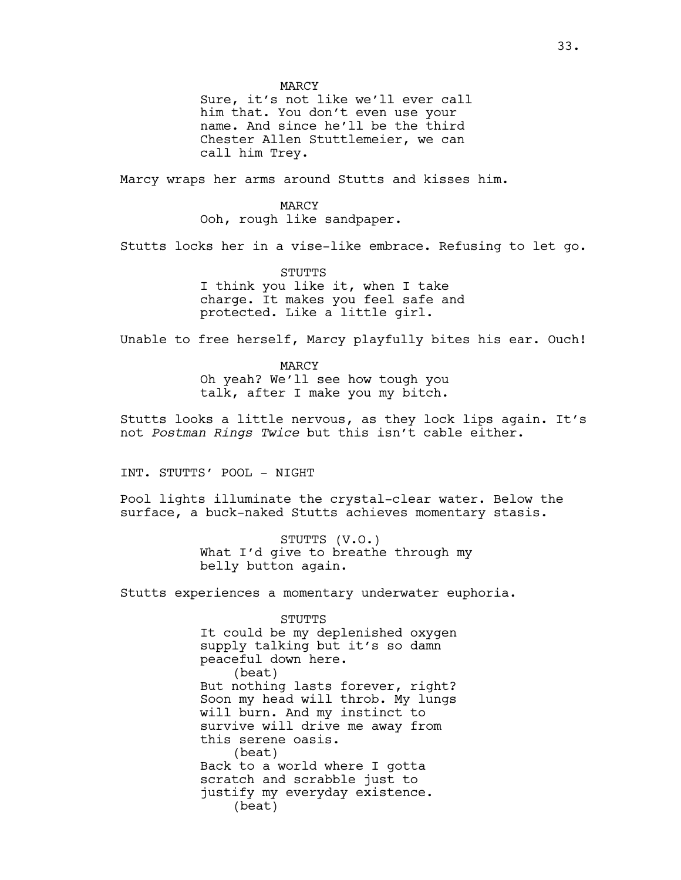MARCY

Sure, it's not like we'll ever call him that. You don't even use your name. And since he'll be the third Chester Allen Stuttlemeier, we can call him Trey.

Marcy wraps her arms around Stutts and kisses him.

MARCY Ooh, rough like sandpaper.

Stutts locks her in a vise-like embrace. Refusing to let go.

STUTTS I think you like it, when I take charge. It makes you feel safe and protected. Like a little girl.

Unable to free herself, Marcy playfully bites his ear. Ouch!

MARCY Oh yeah? We'll see how tough you talk, after I make you my bitch.

Stutts looks a little nervous, as they lock lips again. It's not *Postman Rings Twice* but this isn't cable either.

INT. STUTTS' POOL - NIGHT

Pool lights illuminate the crystal-clear water. Below the surface, a buck-naked Stutts achieves momentary stasis.

> STUTTS (V.O.) What I'd give to breathe through my belly button again.

Stutts experiences a momentary underwater euphoria.

STUTTS It could be my deplenished oxygen supply talking but it's so damn peaceful down here. (beat) But nothing lasts forever, right? Soon my head will throb. My lungs will burn. And my instinct to survive will drive me away from this serene oasis. (beat) Back to a world where I gotta scratch and scrabble just to justify my everyday existence. (beat)